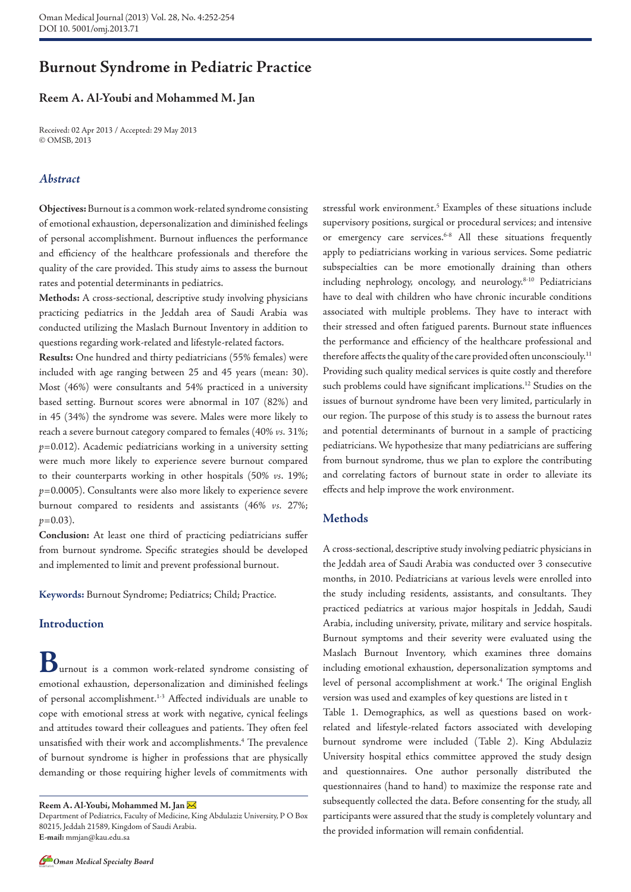# **Burnout Syndrome in Pediatric Practice**

# **Reem A. Al-Youbi and Mohammed M. Jan**

Received: 02 Apr 2013 / Accepted: 29 May 2013 © OMSB, 2013

# *Abstract*

**Objectives:** Burnout is a common work-related syndrome consisting of emotional exhaustion, depersonalization and diminished feelings of personal accomplishment. Burnout influences the performance and efficiency of the healthcare professionals and therefore the quality of the care provided. This study aims to assess the burnout rates and potential determinants in pediatrics.

**Methods:** A cross-sectional, descriptive study involving physicians practicing pediatrics in the Jeddah area of Saudi Arabia was conducted utilizing the Maslach Burnout Inventory in addition to questions regarding work-related and lifestyle-related factors.

**Results:** One hundred and thirty pediatricians (55% females) were included with age ranging between 25 and 45 years (mean: 30). Most (46%) were consultants and 54% practiced in a university based setting. Burnout scores were abnormal in 107 (82%) and in 45 (34%) the syndrome was severe. Males were more likely to reach a severe burnout category compared to females (40% *vs.* 31%; *p*=0.012). Academic pediatricians working in a university setting were much more likely to experience severe burnout compared to their counterparts working in other hospitals (50% *vs*. 19%; *p*=0.0005). Consultants were also more likely to experience severe burnout compared to residents and assistants (46% *vs.* 27%;  $p=0.03$ ).

**Conclusion:** At least one third of practicing pediatricians suffer from burnout syndrome. Specific strategies should be developed and implemented to limit and prevent professional burnout.

**Keywords:** Burnout Syndrome; Pediatrics; Child; Practice.

# **Introduction**

**B**urnout is a common work-related syndrome consisting of emotional exhaustion, depersonalization and diminished feelings of personal accomplishment.1-3 Affected individuals are unable to cope with emotional stress at work with negative, cynical feelings and attitudes toward their colleagues and patients. They often feel unsatisfied with their work and accomplishments.4 The prevalence of burnout syndrome is higher in professions that are physically demanding or those requiring higher levels of commitments with

**Reem A. Al-Youbi, Mohammed M. Jan** 

stressful work environment.<sup>5</sup> Examples of these situations include supervisory positions, surgical or procedural services; and intensive or emergency care services.<sup>6-8</sup> All these situations frequently apply to pediatricians working in various services. Some pediatric subspecialties can be more emotionally draining than others including nephrology, oncology, and neurology.<sup>8-10</sup> Pediatricians have to deal with children who have chronic incurable conditions associated with multiple problems. They have to interact with their stressed and often fatigued parents. Burnout state influences the performance and efficiency of the healthcare professional and therefore affects the quality of the care provided often unconsciouly.<sup>11</sup> Providing such quality medical services is quite costly and therefore such problems could have significant implications.<sup>12</sup> Studies on the issues of burnout syndrome have been very limited, particularly in our region. The purpose of this study is to assess the burnout rates and potential determinants of burnout in a sample of practicing pediatricians. We hypothesize that many pediatricians are suffering from burnout syndrome, thus we plan to explore the contributing and correlating factors of burnout state in order to alleviate its effects and help improve the work environment.

#### **Methods**

A cross-sectional, descriptive study involving pediatric physicians in the Jeddah area of Saudi Arabia was conducted over 3 consecutive months, in 2010. Pediatricians at various levels were enrolled into the study including residents, assistants, and consultants. They practiced pediatrics at various major hospitals in Jeddah, Saudi Arabia, including university, private, military and service hospitals. Burnout symptoms and their severity were evaluated using the Maslach Burnout Inventory, which examines three domains including emotional exhaustion, depersonalization symptoms and level of personal accomplishment at work.<sup>4</sup> The original English version was used and examples of key questions are listed in t

Table 1. Demographics, as well as questions based on workrelated and lifestyle-related factors associated with developing burnout syndrome were included (Table 2). King Abdulaziz University hospital ethics committee approved the study design and questionnaires. One author personally distributed the questionnaires (hand to hand) to maximize the response rate and subsequently collected the data. Before consenting for the study, all participants were assured that the study is completely voluntary and the provided information will remain confidential.

Department of Pediatrics, Faculty of Medicine, King Abdulaziz University, P O Box 80215, Jeddah 21589, Kingdom of Saudi Arabia. **E-mail:** mmjan@kau.edu.sa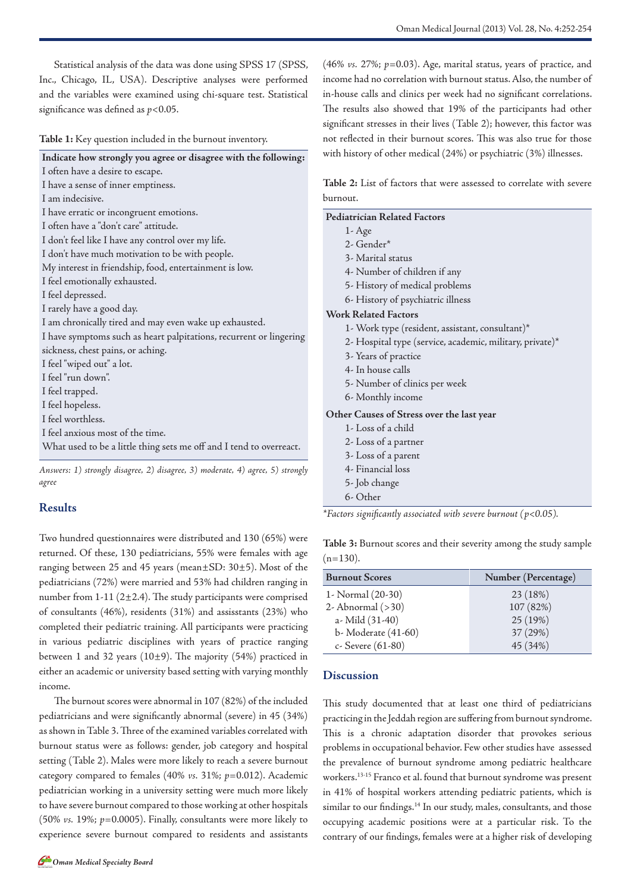**Table 1:** Key question included in the burnout inventory.

| Indicate how strongly you agree or disagree with the following:     |  |  |  |
|---------------------------------------------------------------------|--|--|--|
|                                                                     |  |  |  |
| I often have a desire to escape.                                    |  |  |  |
| I have a sense of inner emptiness.                                  |  |  |  |
| Lam indecisive.                                                     |  |  |  |
| I have erratic or incongruent emotions.                             |  |  |  |
| I often have a "don't care" attitude.                               |  |  |  |
| I don't feel like I have any control over my life.                  |  |  |  |
| I don't have much motivation to be with people.                     |  |  |  |
| My interest in friendship, food, entertainment is low.              |  |  |  |
| I feel emotionally exhausted.                                       |  |  |  |
| I feel depressed.                                                   |  |  |  |
| I rarely have a good day.                                           |  |  |  |
| I am chronically tired and may even wake up exhausted.              |  |  |  |
| I have symptoms such as heart palpitations, recurrent or lingering  |  |  |  |
| sickness, chest pains, or aching.                                   |  |  |  |
| I feel "wiped out" a lot.                                           |  |  |  |
| I feel "run down".                                                  |  |  |  |
| I feel trapped.                                                     |  |  |  |
| I feel hopeless.                                                    |  |  |  |
| I feel worthless.                                                   |  |  |  |
| I feel anxious most of the time.                                    |  |  |  |
| What used to be a little thing sets me off and I tend to overreact. |  |  |  |
|                                                                     |  |  |  |

*Answers: 1) strongly disagree, 2) disagree, 3) moderate, 4) agree, 5) strongly agree*

#### **Results**

Two hundred questionnaires were distributed and 130 (65%) were returned. Of these, 130 pediatricians, 55% were females with age ranging between 25 and 45 years (mean±SD: 30±5). Most of the pediatricians (72%) were married and 53% had children ranging in number from  $1-11$  ( $2\pm 2.4$ ). The study participants were comprised of consultants (46%), residents (31%) and assisstants (23%) who completed their pediatric training. All participants were practicing in various pediatric disciplines with years of practice ranging between 1 and 32 years ( $10±9$ ). The majority (54%) practiced in either an academic or university based setting with varying monthly income.

The burnout scores were abnormal in 107 (82%) of the included pediatricians and were significantly abnormal (severe) in 45 (34%) asshown in Table 3. Three of the examined variables correlated with burnout status were as follows: gender, job category and hospital setting (Table 2). Males were more likely to reach a severe burnout category compared to females (40% *vs.* 31%; *p*=0.012). Academic pediatrician working in a university setting were much more likely to have severe burnout compared to those working at other hospitals (50% *vs.* 19%; *p*=0.0005). Finally, consultants were more likely to experience severe burnout compared to residents and assistants (46% *vs.* 27%; *p*=0.03). Age, marital status, years of practice, and income had no correlation with burnout status. Also, the number of in-house calls and clinics per week had no significant correlations. The results also showed that 19% of the participants had other significant stresses in their lives (Table 2); however, this factor was not reflected in their burnout scores. This was also true for those with history of other medical (24%) or psychiatric (3%) illnesses.

**Table 2:** List of factors that were assessed to correlate with severe burnout.

| <b>Pediatrician Related Factors</b>                                 |  |  |
|---------------------------------------------------------------------|--|--|
| $1 - Age$                                                           |  |  |
| 2- Gender*                                                          |  |  |
| 3- Marital status                                                   |  |  |
| 4- Number of children if any                                        |  |  |
| 5- History of medical problems                                      |  |  |
| 6- History of psychiatric illness                                   |  |  |
| <b>Work Related Factors</b>                                         |  |  |
| 1- Work type (resident, assistant, consultant)*                     |  |  |
| 2- Hospital type (service, academic, military, private)*            |  |  |
| 3- Years of practice                                                |  |  |
| 4- In house calls                                                   |  |  |
| 5- Number of clinics per week                                       |  |  |
| 6- Monthly income                                                   |  |  |
| Other Causes of Stress over the last year                           |  |  |
| 1-Loss of a child                                                   |  |  |
| 2- Loss of a partner                                                |  |  |
| 3- Loss of a parent                                                 |  |  |
| 4- Financial loss                                                   |  |  |
| 5- Job change                                                       |  |  |
| 6- Other                                                            |  |  |
| *Factors significantly associated with severe burnout ( $p<0.05$ ). |  |  |

**Table 3:** Burnout scores and their severity among the study sample  $(n=130)$ .

| <b>Burnout Scores</b> | Number (Percentage) |  |
|-----------------------|---------------------|--|
| 1- Normal (20-30)     | 23(18%)             |  |
| 2- Abnormal $(>30)$   | 107 (82%)           |  |
| a- Mild (31-40)       | 25 (19%)            |  |
| b- Moderate (41-60)   | 37 (29%)            |  |
| c- Severe (61-80)     | 45 (34%)            |  |

## **Discussion**

This study documented that at least one third of pediatricians practicing in the Jeddah region are suffering from burnout syndrome. This is a chronic adaptation disorder that provokes serious problems in occupational behavior. Few other studies have assessed the prevalence of burnout syndrome among pediatric healthcare workers.13-15 Franco et al. found that burnout syndrome was present in 41% of hospital workers attending pediatric patients, which is similar to our findings.<sup>14</sup> In our study, males, consultants, and those occupying academic positions were at a particular risk. To the contrary of our findings, females were at a higher risk of developing